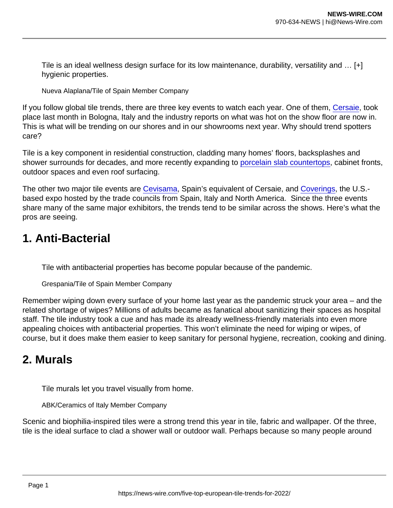Tile is an ideal wellness design surface for its low maintenance, durability, versatility and … [+] hygienic properties.

Nueva Alaplana/Tile of Spain Member Company

If you follow global tile trends, there are three key events to watch each year. One of them, [Cersaie,](https://www.cersaie.it/en/) took place last month in Bologna, Italy and the industry reports on what was hot on the show floor are now in. This is what will be trending on our shores and in our showrooms next year. Why should trend spotters care?

Tile is a key component in residential construction, cladding many homes' floors, backsplashes and shower surrounds for decades, and more recently expanding to [porcelain slab countertops,](https://www.forbes.com/sites/jamiegold/2019/10/13/why-you-might-want-porcelain-slab-countertops/) cabinet fronts, outdoor spaces and even roof surfacing.

The other two major tile events are [Cevisama](https://cevisama.feriavalencia.com/en/), Spain's equivalent of Cersaie, and [Coverings,](https://www.coverings.com/) the U.S.based expo hosted by the trade councils from Spain, Italy and North America. Since the three events share many of the same major exhibitors, the trends tend to be similar across the shows. Here's what the pros are seeing.

## 1. Anti-Bacterial

Tile with antibacterial properties has become popular because of the pandemic.

Grespania/Tile of Spain Member Company

Remember wiping down every surface of your home last year as the pandemic struck your area – and the related shortage of wipes? Millions of adults became as fanatical about sanitizing their spaces as hospital staff. The tile industry took a cue and has made its already wellness-friendly materials into even more appealing choices with antibacterial properties. This won't eliminate the need for wiping or wipes, of course, but it does make them easier to keep sanitary for personal hygiene, recreation, cooking and dining.

## 2. Murals

Tile murals let you travel visually from home.

ABK/Ceramics of Italy Member Company

Scenic and biophilia-inspired tiles were a strong trend this year in tile, fabric and wallpaper. Of the three, tile is the ideal surface to clad a shower wall or outdoor wall. Perhaps because so many people around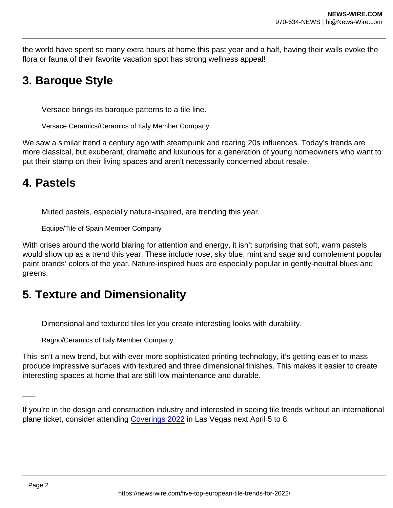the world have spent so many extra hours at home this past year and a half, having their walls evoke the flora or fauna of their favorite vacation spot has strong wellness appeal!

# 3. Baroque Style

Versace brings its baroque patterns to a tile line.

Versace Ceramics/Ceramics of Italy Member Company

We saw a similar trend a century ago with steampunk and roaring 20s influences. Today's trends are more classical, but exuberant, dramatic and luxurious for a generation of young homeowners who want to put their stamp on their living spaces and aren't necessarily concerned about resale.

## 4. Pastels

Muted pastels, especially nature-inspired, are trending this year.

Equipe/Tile of Spain Member Company

With crises around the world blaring for attention and energy, it isn't surprising that soft, warm pastels would show up as a trend this year. These include rose, sky blue, mint and sage and complement popular paint brands' colors of the year. Nature-inspired hues are especially popular in gently-neutral blues and greens.

# 5. Texture and Dimensionality

Dimensional and textured tiles let you create interesting looks with durability.

Ragno/Ceramics of Italy Member Company

This isn't a new trend, but with ever more sophisticated printing technology, it's getting easier to mass produce impressive surfaces with textured and three dimensional finishes. This makes it easier to create interesting spaces at home that are still low maintenance and durable.

If you're in the design and construction industry and interested in seeing tile trends without an international plane ticket, consider attending [Coverings 2022](https://www.coverings.com/) in Las Vegas next April 5 to 8.

 $\overline{\phantom{a}}$